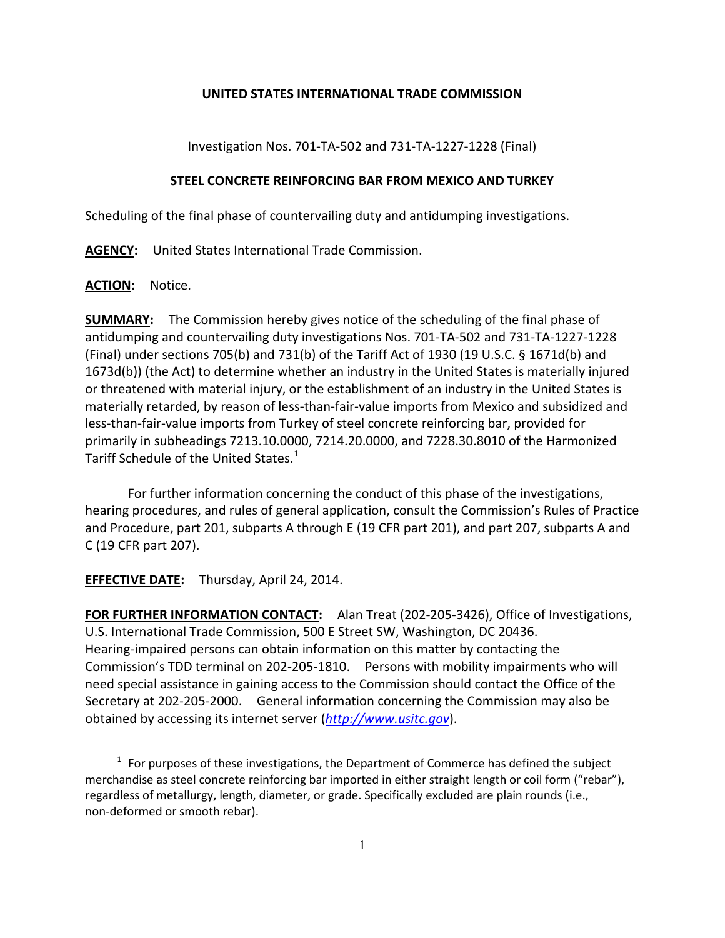## **UNITED STATES INTERNATIONAL TRADE COMMISSION**

Investigation Nos. 701-TA-502 and 731-TA-1227-1228 (Final)

## **STEEL CONCRETE REINFORCING BAR FROM MEXICO AND TURKEY**

Scheduling of the final phase of countervailing duty and antidumping investigations.

**AGENCY:** United States International Trade Commission.

**ACTION:** Notice.

 $\overline{a}$ 

**SUMMARY:** The Commission hereby gives notice of the scheduling of the final phase of antidumping and countervailing duty investigations Nos. 701-TA-502 and 731-TA-1227-1228 (Final) under sections 705(b) and 731(b) of the Tariff Act of 1930 (19 U.S.C. § 1671d(b) and 1673d(b)) (the Act) to determine whether an industry in the United States is materially injured or threatened with material injury, or the establishment of an industry in the United States is materially retarded, by reason of less-than-fair-value imports from Mexico and subsidized and less-than-fair-value imports from Turkey of steel concrete reinforcing bar, provided for primarily in subheadings 7213.10.0000, 7214.20.0000, and 7228.30.8010 of the Harmonized Tariff Schedule of the United States.<sup>[1](#page-0-0)</sup>

For further information concerning the conduct of this phase of the investigations, hearing procedures, and rules of general application, consult the Commission's Rules of Practice and Procedure, part 201, subparts A through E (19 CFR part 201), and part 207, subparts A and C (19 CFR part 207).

**EFFECTIVE DATE:** Thursday, April 24, 2014.

**FOR FURTHER INFORMATION CONTACT:** Alan Treat (202-205-3426), Office of Investigations, U.S. International Trade Commission, 500 E Street SW, Washington, DC 20436. Hearing-impaired persons can obtain information on this matter by contacting the Commission's TDD terminal on 202-205-1810. Persons with mobility impairments who will need special assistance in gaining access to the Commission should contact the Office of the Secretary at 202-205-2000. General information concerning the Commission may also be obtained by accessing its internet server (*[http://www.usitc.gov](http://www.usitc.gov/)*).

<span id="page-0-0"></span> $1$  For purposes of these investigations, the Department of Commerce has defined the subject merchandise as steel concrete reinforcing bar imported in either straight length or coil form ("rebar"), regardless of metallurgy, length, diameter, or grade. Specifically excluded are plain rounds (i.e., non-deformed or smooth rebar).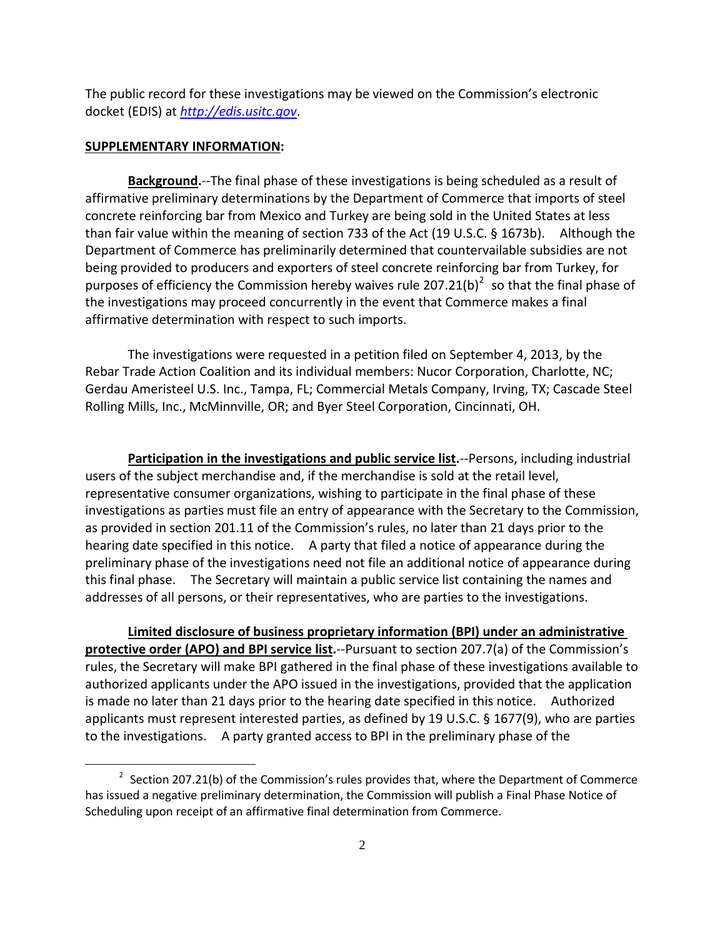The public record for these investigations may be viewed on the Commission's electronic docket (EDIS) at *[http://edis.usitc.gov](http://edis.usitc.gov/)*.

## **SUPPLEMENTARY INFORMATION:**

 $\overline{a}$ 

**Background.**--The final phase of these investigations is being scheduled as a result of affirmative preliminary determinations by the Department of Commerce that imports of steel concrete reinforcing bar from Mexico and Turkey are being sold in the United States at less than fair value within the meaning of section 733 of the Act (19 U.S.C. § 1673b). Although the Department of Commerce has preliminarily determined that countervailable subsidies are not being provided to producers and exporters of steel concrete reinforcing bar from Turkey, for purposes of efficiency the Commission hereby waives rule [2](#page-1-0)07.21(b)<sup>2</sup> so that the final phase of the investigations may proceed concurrently in the event that Commerce makes a final affirmative determination with respect to such imports.

The investigations were requested in a petition filed on September 4, 2013, by the Rebar Trade Action Coalition and its individual members: Nucor Corporation, Charlotte, NC; Gerdau Ameristeel U.S. Inc., Tampa, FL; Commercial Metals Company, Irving, TX; Cascade Steel Rolling Mills, Inc., McMinnville, OR; and Byer Steel Corporation, Cincinnati, OH.

**Participation in the investigations and public service list.**--Persons, including industrial users of the subject merchandise and, if the merchandise is sold at the retail level, representative consumer organizations, wishing to participate in the final phase of these investigations as parties must file an entry of appearance with the Secretary to the Commission, as provided in section 201.11 of the Commission's rules, no later than 21 days prior to the hearing date specified in this notice. A party that filed a notice of appearance during the preliminary phase of the investigations need not file an additional notice of appearance during this final phase. The Secretary will maintain a public service list containing the names and addresses of all persons, or their representatives, who are parties to the investigations.

**Limited disclosure of business proprietary information (BPI) under an administrative protective order (APO) and BPI service list.**--Pursuant to section 207.7(a) of the Commission's rules, the Secretary will make BPI gathered in the final phase of these investigations available to authorized applicants under the APO issued in the investigations, provided that the application is made no later than 21 days prior to the hearing date specified in this notice. Authorized applicants must represent interested parties, as defined by 19 U.S.C. § 1677(9), who are parties to the investigations. A party granted access to BPI in the preliminary phase of the

<span id="page-1-0"></span> $2$  Section 207.21(b) of the Commission's rules provides that, where the Department of Commerce has issued a negative preliminary determination, the Commission will publish a Final Phase Notice of Scheduling upon receipt of an affirmative final determination from Commerce.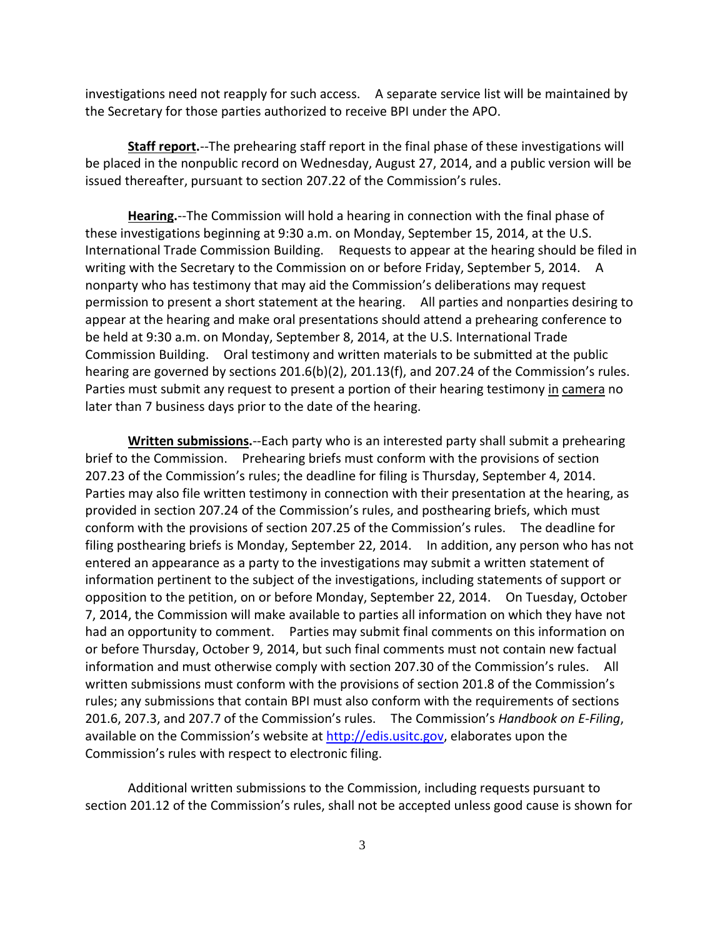investigations need not reapply for such access. A separate service list will be maintained by the Secretary for those parties authorized to receive BPI under the APO.

**Staff report.**--The prehearing staff report in the final phase of these investigations will be placed in the nonpublic record on Wednesday, August 27, 2014, and a public version will be issued thereafter, pursuant to section 207.22 of the Commission's rules.

**Hearing.**--The Commission will hold a hearing in connection with the final phase of these investigations beginning at 9:30 a.m. on Monday, September 15, 2014, at the U.S. International Trade Commission Building. Requests to appear at the hearing should be filed in writing with the Secretary to the Commission on or before Friday, September 5, 2014. A nonparty who has testimony that may aid the Commission's deliberations may request permission to present a short statement at the hearing. All parties and nonparties desiring to appear at the hearing and make oral presentations should attend a prehearing conference to be held at 9:30 a.m. on Monday, September 8, 2014, at the U.S. International Trade Commission Building. Oral testimony and written materials to be submitted at the public hearing are governed by sections 201.6(b)(2), 201.13(f), and 207.24 of the Commission's rules. Parties must submit any request to present a portion of their hearing testimony in camera no later than 7 business days prior to the date of the hearing.

**Written submissions.**--Each party who is an interested party shall submit a prehearing brief to the Commission. Prehearing briefs must conform with the provisions of section 207.23 of the Commission's rules; the deadline for filing is Thursday, September 4, 2014. Parties may also file written testimony in connection with their presentation at the hearing, as provided in section 207.24 of the Commission's rules, and posthearing briefs, which must conform with the provisions of section 207.25 of the Commission's rules. The deadline for filing posthearing briefs is Monday, September 22, 2014. In addition, any person who has not entered an appearance as a party to the investigations may submit a written statement of information pertinent to the subject of the investigations, including statements of support or opposition to the petition, on or before Monday, September 22, 2014. On Tuesday, October 7, 2014, the Commission will make available to parties all information on which they have not had an opportunity to comment. Parties may submit final comments on this information on or before Thursday, October 9, 2014, but such final comments must not contain new factual information and must otherwise comply with section 207.30 of the Commission's rules. All written submissions must conform with the provisions of section 201.8 of the Commission's rules; any submissions that contain BPI must also conform with the requirements of sections 201.6, 207.3, and 207.7 of the Commission's rules. The Commission's *Handbook on E-Filing*, available on the Commission's website at [http://edis.usitc.gov,](http://edis.usitc.gov/) elaborates upon the Commission's rules with respect to electronic filing.

Additional written submissions to the Commission, including requests pursuant to section 201.12 of the Commission's rules, shall not be accepted unless good cause is shown for